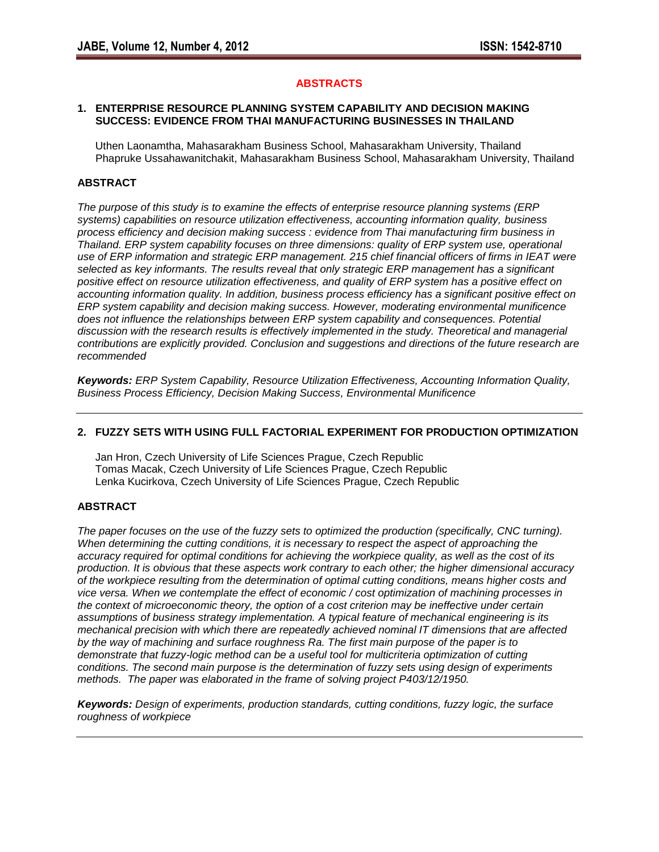# **ABSTRACTS**

#### **1. ENTERPRISE RESOURCE PLANNING SYSTEM CAPABILITY AND DECISION MAKING SUCCESS: EVIDENCE FROM THAI MANUFACTURING BUSINESSES IN THAILAND**

 Uthen Laonamtha, Mahasarakham Business School, Mahasarakham University, Thailand Phapruke Ussahawanitchakit, Mahasarakham Business School, Mahasarakham University, Thailand

## **ABSTRACT**

*The purpose of this study is to examine the effects of enterprise resource planning systems (ERP systems) capabilities on resource utilization effectiveness, accounting information quality, business process efficiency and decision making success : evidence from Thai manufacturing firm business in Thailand. ERP system capability focuses on three dimensions: quality of ERP system use, operational use of ERP information and strategic ERP management. 215 chief financial officers of firms in IEAT were selected as key informants. The results reveal that only strategic ERP management has a significant positive effect on resource utilization effectiveness, and quality of ERP system has a positive effect on accounting information quality. In addition, business process efficiency has a significant positive effect on ERP system capability and decision making success. However, moderating environmental munificence does not influence the relationships between ERP system capability and consequences. Potential discussion with the research results is effectively implemented in the study. Theoretical and managerial contributions are explicitly provided. Conclusion and suggestions and directions of the future research are recommended* 

*Keywords: ERP System Capability, Resource Utilization Effectiveness, Accounting Information Quality, Business Process Efficiency, Decision Making Success, Environmental Munificence*

### **2. FUZZY SETS WITH USING FULL FACTORIAL EXPERIMENT FOR PRODUCTION OPTIMIZATION**

Jan Hron, Czech University of Life Sciences Prague, Czech Republic Tomas Macak, Czech University of Life Sciences Prague, Czech Republic Lenka Kucirkova, Czech University of Life Sciences Prague, Czech Republic

### **ABSTRACT**

*The paper focuses on the use of the fuzzy sets to optimized the production (specifically, CNC turning). When determining the cutting conditions, it is necessary to respect the aspect of approaching the accuracy required for optimal conditions for achieving the workpiece quality, as well as the cost of its production. It is obvious that these aspects work contrary to each other; the higher dimensional accuracy of the workpiece resulting from the determination of optimal cutting conditions, means higher costs and vice versa. When we contemplate the effect of economic / cost optimization of machining processes in the context of microeconomic theory, the option of a cost criterion may be ineffective under certain assumptions of business strategy implementation. A typical feature of mechanical engineering is its mechanical precision with which there are repeatedly achieved nominal IT dimensions that are affected by the way of machining and surface roughness Ra. The first main purpose of the paper is to demonstrate that fuzzy-logic method can be a useful tool for multicriteria optimization of cutting conditions. The second main purpose is the determination of fuzzy sets using design of experiments methods. The paper was elaborated in the frame of solving project P403/12/1950.*

*Keywords: Design of experiments, production standards, cutting conditions, fuzzy logic, the surface roughness of workpiece*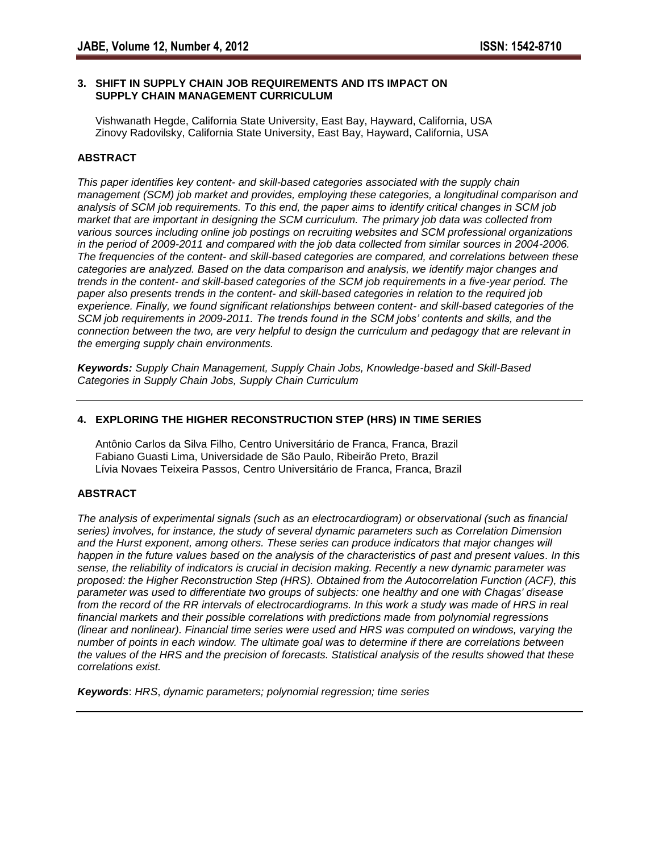### **3. SHIFT IN SUPPLY CHAIN JOB REQUIREMENTS AND ITS IMPACT ON SUPPLY CHAIN MANAGEMENT CURRICULUM**

Vishwanath Hegde, California State University, East Bay, Hayward, California, USA Zinovy Radovilsky, California State University, East Bay, Hayward, California, USA

# **ABSTRACT**

*This paper identifies key content- and skill-based categories associated with the supply chain management (SCM) job market and provides, employing these categories, a longitudinal comparison and analysis of SCM job requirements. To this end, the paper aims to identify critical changes in SCM job market that are important in designing the SCM curriculum. The primary job data was collected from various sources including online job postings on recruiting websites and SCM professional organizations in the period of 2009-2011 and compared with the job data collected from similar sources in 2004-2006. The frequencies of the content- and skill-based categories are compared, and correlations between these categories are analyzed. Based on the data comparison and analysis, we identify major changes and trends in the content- and skill-based categories of the SCM job requirements in a five-year period. The paper also presents trends in the content- and skill-based categories in relation to the required job experience. Finally, we found significant relationships between content- and skill-based categories of the SCM job requirements in 2009-2011. The trends found in the SCM jobs' contents and skills, and the connection between the two, are very helpful to design the curriculum and pedagogy that are relevant in the emerging supply chain environments.*

*Keywords: Supply Chain Management, Supply Chain Jobs, Knowledge-based and Skill-Based Categories in Supply Chain Jobs, Supply Chain Curriculum*

# **4. EXPLORING THE HIGHER RECONSTRUCTION STEP (HRS) IN TIME SERIES**

Antônio Carlos da Silva Filho, Centro Universitário de Franca, Franca, Brazil Fabiano Guasti Lima, Universidade de São Paulo, Ribeirão Preto, Brazil Lívia Novaes Teixeira Passos, Centro Universitário de Franca, Franca, Brazil

# **ABSTRACT**

*The analysis of experimental signals (such as an electrocardiogram) or observational (such as financial series) involves, for instance, the study of several dynamic parameters such as Correlation Dimension and the Hurst exponent, among others. These series can produce indicators that major changes will happen in the future values based on the analysis of the characteristics of past and present values. In this sense, the reliability of indicators is crucial in decision making. Recently a new dynamic parameter was proposed: the Higher Reconstruction Step (HRS). Obtained from the Autocorrelation Function (ACF), this parameter was used to differentiate two groups of subjects: one healthy and one with Chagas' disease from the record of the RR intervals of electrocardiograms. In this work a study was made of HRS in real financial markets and their possible correlations with predictions made from polynomial regressions (linear and nonlinear). Financial time series were used and HRS was computed on windows, varying the number of points in each window. The ultimate goal was to determine if there are correlations between the values of the HRS and the precision of forecasts. Statistical analysis of the results showed that these correlations exist.* 

*Keywords*: *HRS*, *dynamic parameters; polynomial regression; time series*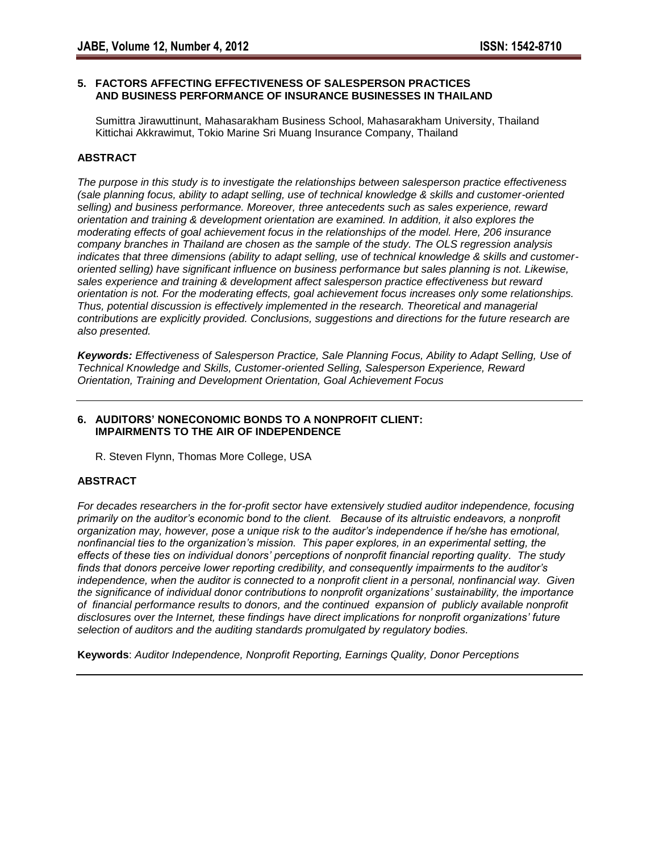# **5. FACTORS AFFECTING EFFECTIVENESS OF SALESPERSON PRACTICES AND BUSINESS PERFORMANCE OF INSURANCE BUSINESSES IN THAILAND**

Sumittra Jirawuttinunt, Mahasarakham Business School, Mahasarakham University, Thailand Kittichai Akkrawimut, Tokio Marine Sri Muang Insurance Company, Thailand

# **ABSTRACT**

*The purpose in this study is to investigate the relationships between salesperson practice effectiveness (sale planning focus, ability to adapt selling, use of technical knowledge & skills and customer-oriented selling) and business performance. Moreover, three antecedents such as sales experience, reward orientation and training & development orientation are examined. In addition, it also explores the moderating effects of goal achievement focus in the relationships of the model. Here, 206 insurance company branches in Thailand are chosen as the sample of the study. The OLS regression analysis indicates that three dimensions (ability to adapt selling, use of technical knowledge & skills and customeroriented selling) have significant influence on business performance but sales planning is not. Likewise, sales experience and training & development affect salesperson practice effectiveness but reward orientation is not. For the moderating effects, goal achievement focus increases only some relationships. Thus, potential discussion is effectively implemented in the research. Theoretical and managerial contributions are explicitly provided. Conclusions, suggestions and directions for the future research are also presented.* 

*Keywords: Effectiveness of Salesperson Practice, Sale Planning Focus, Ability to Adapt Selling, Use of Technical Knowledge and Skills, Customer-oriented Selling, Salesperson Experience, Reward Orientation, Training and Development Orientation, Goal Achievement Focus*

### **6. AUDITORS' NONECONOMIC BONDS TO A NONPROFIT CLIENT: IMPAIRMENTS TO THE AIR OF INDEPENDENCE**

R. Steven Flynn, Thomas More College, USA

# **ABSTRACT**

*For decades researchers in the for-profit sector have extensively studied auditor independence, focusing primarily on the auditor's economic bond to the client. Because of its altruistic endeavors, a nonprofit organization may, however, pose a unique risk to the auditor's independence if he/she has emotional, nonfinancial ties to the organization's mission. This paper explores, in an experimental setting, the effects of these ties on individual donors' perceptions of nonprofit financial reporting quality. The study finds that donors perceive lower reporting credibility, and consequently impairments to the auditor's independence, when the auditor is connected to a nonprofit client in a personal, nonfinancial way. Given the significance of individual donor contributions to nonprofit organizations' sustainability, the importance of financial performance results to donors, and the continued expansion of publicly available nonprofit disclosures over the Internet, these findings have direct implications for nonprofit organizations' future selection of auditors and the auditing standards promulgated by regulatory bodies.* 

**Keywords**: *Auditor Independence, Nonprofit Reporting, Earnings Quality, Donor Perceptions*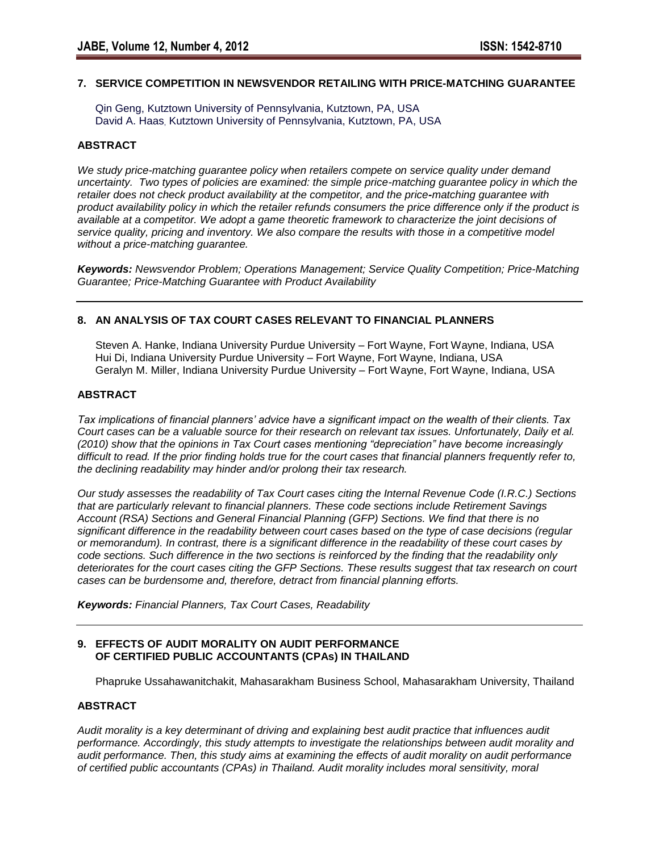### **7. SERVICE COMPETITION IN NEWSVENDOR RETAILING WITH PRICE-MATCHING GUARANTEE**

Qin Geng, Kutztown University of Pennsylvania, Kutztown, PA, USA David A. Haas, Kutztown University of Pennsylvania, Kutztown, PA, USA

### **ABSTRACT**

*We study price-matching guarantee policy when retailers compete on service quality under demand uncertainty. Two types of policies are examined: the simple price-matching guarantee policy in which the retailer does not check product availability at the competitor, and the price-matching guarantee with product availability policy in which the retailer refunds consumers the price difference only if the product is available at a competitor. We adopt a game theoretic framework to characterize the joint decisions of service quality, pricing and inventory. We also compare the results with those in a competitive model without a price-matching guarantee.* 

*Keywords: Newsvendor Problem; Operations Management; Service Quality Competition; Price-Matching Guarantee; Price-Matching Guarantee with Product Availability*

### **8. AN ANALYSIS OF TAX COURT CASES RELEVANT TO FINANCIAL PLANNERS**

Steven A. Hanke, Indiana University Purdue University – Fort Wayne, Fort Wayne, Indiana, USA Hui Di, Indiana University Purdue University – Fort Wayne, Fort Wayne, Indiana, USA Geralyn M. Miller, Indiana University Purdue University – Fort Wayne, Fort Wayne, Indiana, USA

### **ABSTRACT**

*Tax implications of financial planners' advice have a significant impact on the wealth of their clients. Tax Court cases can be a valuable source for their research on relevant tax issues. Unfortunately, Daily et al. (2010) show that the opinions in Tax Court cases mentioning "depreciation" have become increasingly difficult to read. If the prior finding holds true for the court cases that financial planners frequently refer to, the declining readability may hinder and/or prolong their tax research.* 

*Our study assesses the readability of Tax Court cases citing the Internal Revenue Code (I.R.C.) Sections that are particularly relevant to financial planners. These code sections include Retirement Savings Account (RSA) Sections and General Financial Planning (GFP) Sections. We find that there is no significant difference in the readability between court cases based on the type of case decisions (regular or memorandum). In contrast, there is a significant difference in the readability of these court cases by code sections. Such difference in the two sections is reinforced by the finding that the readability only deteriorates for the court cases citing the GFP Sections. These results suggest that tax research on court cases can be burdensome and, therefore, detract from financial planning efforts.* 

*Keywords: Financial Planners, Tax Court Cases, Readability*

### **9. EFFECTS OF AUDIT MORALITY ON AUDIT PERFORMANCE OF CERTIFIED PUBLIC ACCOUNTANTS (CPAs) IN THAILAND**

Phapruke Ussahawanitchakit, Mahasarakham Business School, Mahasarakham University, Thailand

### **ABSTRACT**

*Audit morality is a key determinant of driving and explaining best audit practice that influences audit performance. Accordingly, this study attempts to investigate the relationships between audit morality and audit performance. Then, this study aims at examining the effects of audit morality on audit performance of certified public accountants (CPAs) in Thailand. Audit morality includes moral sensitivity, moral*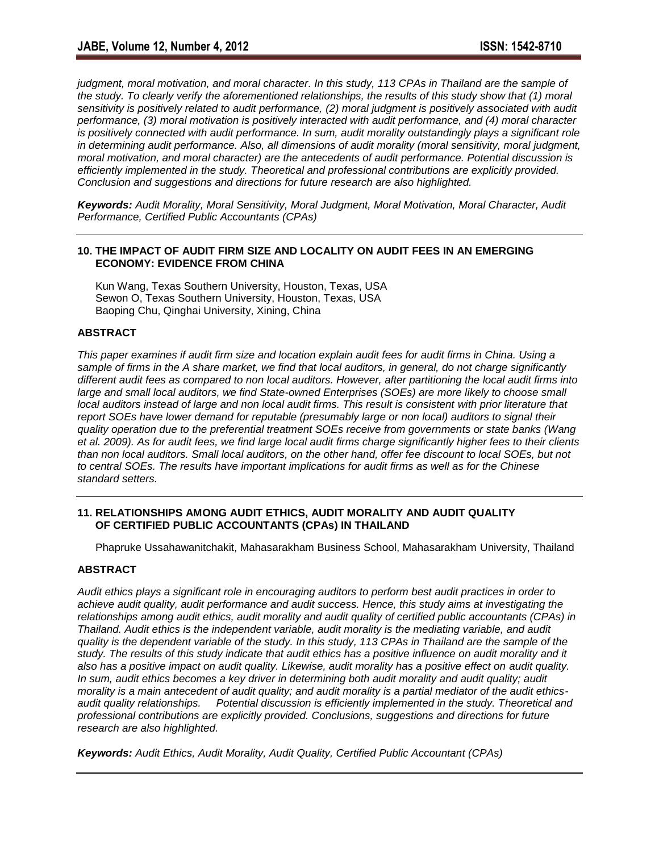judgment, moral motivation, and moral character. In this study, 113 CPAs in Thailand are the sample of *the study. To clearly verify the aforementioned relationships, the results of this study show that (1) moral*  sensitivity is positively related to audit performance, (2) moral judgment is positively associated with audit *performance, (3) moral motivation is positively interacted with audit performance, and (4) moral character is positively connected with audit performance. In sum, audit morality outstandingly plays a significant role in determining audit performance. Also, all dimensions of audit morality (moral sensitivity, moral judgment, moral motivation, and moral character) are the antecedents of audit performance. Potential discussion is efficiently implemented in the study. Theoretical and professional contributions are explicitly provided. Conclusion and suggestions and directions for future research are also highlighted.* 

*Keywords: Audit Morality, Moral Sensitivity, Moral Judgment, Moral Motivation, Moral Character, Audit Performance, Certified Public Accountants (CPAs)* 

## **10. THE IMPACT OF AUDIT FIRM SIZE AND LOCALITY ON AUDIT FEES IN AN EMERGING ECONOMY: EVIDENCE FROM CHINA**

Kun Wang, Texas Southern University, Houston, Texas, USA Sewon O, Texas Southern University, Houston, Texas, USA Baoping Chu, Qinghai University, Xining, China

# **ABSTRACT**

*This paper examines if audit firm size and location explain audit fees for audit firms in China. Using a sample of firms in the A share market, we find that local auditors, in general, do not charge significantly different audit fees as compared to non local auditors. However, after partitioning the local audit firms into large and small local auditors, we find State-owned Enterprises (SOEs) are more likely to choose small local auditors instead of large and non local audit firms. This result is consistent with prior literature that report SOEs have lower demand for reputable (presumably large or non local) auditors to signal their quality operation due to the preferential treatment SOEs receive from governments or state banks (Wang et al. 2009). As for audit fees, we find large local audit firms charge significantly higher fees to their clients than non local auditors. Small local auditors, on the other hand, offer fee discount to local SOEs, but not to central SOEs. The results have important implications for audit firms as well as for the Chinese standard setters.* 

# **11. RELATIONSHIPS AMONG AUDIT ETHICS, AUDIT MORALITY AND AUDIT QUALITY OF CERTIFIED PUBLIC ACCOUNTANTS (CPAs) IN THAILAND**

Phapruke Ussahawanitchakit, Mahasarakham Business School, Mahasarakham University, Thailand

# **ABSTRACT**

*Audit ethics plays a significant role in encouraging auditors to perform best audit practices in order to achieve audit quality, audit performance and audit success. Hence, this study aims at investigating the relationships among audit ethics, audit morality and audit quality of certified public accountants (CPAs) in Thailand. Audit ethics is the independent variable, audit morality is the mediating variable, and audit quality is the dependent variable of the study. In this study, 113 CPAs in Thailand are the sample of the*  study. The results of this study indicate that audit ethics has a positive influence on audit morality and it *also has a positive impact on audit quality. Likewise, audit morality has a positive effect on audit quality. In sum, audit ethics becomes a key driver in determining both audit morality and audit quality; audit morality is a main antecedent of audit quality; and audit morality is a partial mediator of the audit ethicsaudit quality relationships. Potential discussion is efficiently implemented in the study. Theoretical and professional contributions are explicitly provided. Conclusions, suggestions and directions for future research are also highlighted.* 

*Keywords: Audit Ethics, Audit Morality, Audit Quality, Certified Public Accountant (CPAs)*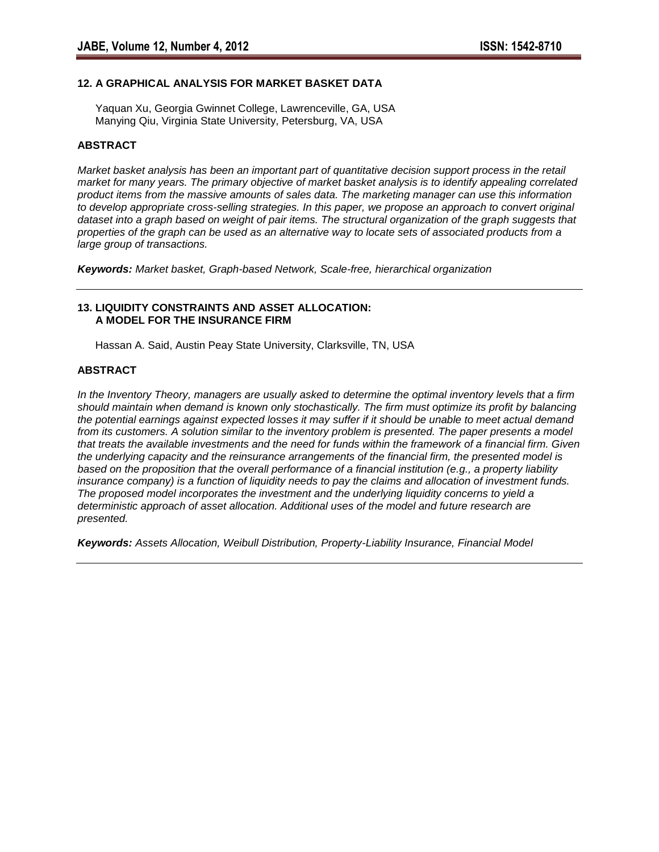# **12. A GRAPHICAL ANALYSIS FOR MARKET BASKET DATA**

Yaquan Xu, Georgia Gwinnet College, Lawrenceville, GA, USA Manying Qiu, Virginia State University, Petersburg, VA, USA

### **ABSTRACT**

*Market basket analysis has been an important part of quantitative decision support process in the retail market for many years. The primary objective of market basket analysis is to identify appealing correlated product items from the massive amounts of sales data. The marketing manager can use this information to develop appropriate cross-selling strategies. In this paper, we propose an approach to convert original*  dataset into a graph based on weight of pair items. The structural organization of the graph suggests that *properties of the graph can be used as an alternative way to locate sets of associated products from a large group of transactions.*

*Keywords: Market basket, Graph-based Network, Scale-free, hierarchical organization*

### **13. LIQUIDITY CONSTRAINTS AND ASSET ALLOCATION: A MODEL FOR THE INSURANCE FIRM**

Hassan A. Said, Austin Peay State University, Clarksville, TN, USA

### **ABSTRACT**

*In the Inventory Theory, managers are usually asked to determine the optimal inventory levels that a firm should maintain when demand is known only stochastically. The firm must optimize its profit by balancing the potential earnings against expected losses it may suffer if it should be unable to meet actual demand from its customers. A solution similar to the inventory problem is presented. The paper presents a model that treats the available investments and the need for funds within the framework of a financial firm. Given the underlying capacity and the reinsurance arrangements of the financial firm, the presented model is based on the proposition that the overall performance of a financial institution (e.g., a property liability insurance company) is a function of liquidity needs to pay the claims and allocation of investment funds. The proposed model incorporates the investment and the underlying liquidity concerns to yield a deterministic approach of asset allocation. Additional uses of the model and future research are presented.* 

*Keywords: Assets Allocation, Weibull Distribution, Property-Liability Insurance, Financial Model*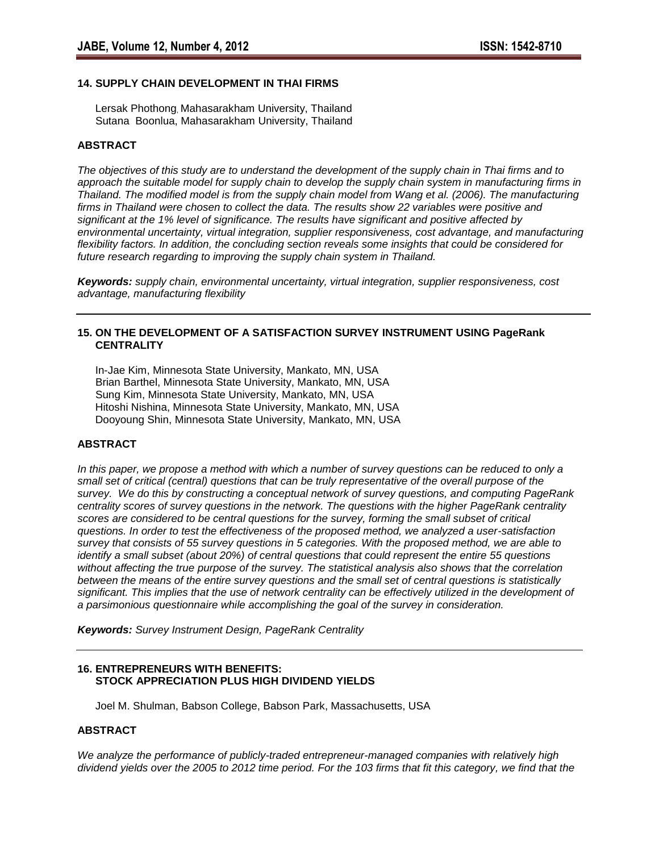#### **14. SUPPLY CHAIN DEVELOPMENT IN THAI FIRMS**

Lersak Phothong, Mahasarakham University, Thailand Sutana Boonlua, Mahasarakham University, Thailand

#### **ABSTRACT**

*The objectives of this study are to understand the development of the supply chain in Thai firms and to approach the suitable model for supply chain to develop the supply chain system in manufacturing firms in Thailand. The modified model is from the supply chain model from Wang et al. (2006). The manufacturing firms in Thailand were chosen to collect the data. The results show 22 variables were positive and significant at the 1% level of significance. The results have significant and positive affected by environmental uncertainty, virtual integration, supplier responsiveness, cost advantage, and manufacturing flexibility factors. In addition, the concluding section reveals some insights that could be considered for future research regarding to improving the supply chain system in Thailand.*

*Keywords: supply chain, environmental uncertainty, virtual integration, supplier responsiveness, cost advantage, manufacturing flexibility*

### **15. ON THE DEVELOPMENT OF A SATISFACTION SURVEY INSTRUMENT USING PageRank CENTRALITY**

In-Jae Kim, Minnesota State University, Mankato, MN, USA Brian Barthel, Minnesota State University, Mankato, MN, USA Sung Kim, Minnesota State University, Mankato, MN, USA Hitoshi Nishina, Minnesota State University, Mankato, MN, USA Dooyoung Shin, Minnesota State University, Mankato, MN, USA

### **ABSTRACT**

*In this paper, we propose a method with which a number of survey questions can be reduced to only a small set of critical (central) questions that can be truly representative of the overall purpose of the survey. We do this by constructing a conceptual network of survey questions, and computing PageRank centrality scores of survey questions in the network. The questions with the higher PageRank centrality scores are considered to be central questions for the survey, forming the small subset of critical questions. In order to test the effectiveness of the proposed method, we analyzed a user-satisfaction survey that consists of 55 survey questions in 5 categories. With the proposed method, we are able to identify a small subset (about 20%) of central questions that could represent the entire 55 questions without affecting the true purpose of the survey. The statistical analysis also shows that the correlation between the means of the entire survey questions and the small set of central questions is statistically*  significant. This implies that the use of network centrality can be effectively utilized in the development of *a parsimonious questionnaire while accomplishing the goal of the survey in consideration.* 

*Keywords: Survey Instrument Design, PageRank Centrality*

#### **16. ENTREPRENEURS WITH BENEFITS: STOCK APPRECIATION PLUS HIGH DIVIDEND YIELDS**

Joel M. Shulman, Babson College, Babson Park, Massachusetts, USA

#### **ABSTRACT**

*We analyze the performance of publicly-traded entrepreneur-managed companies with relatively high dividend yields over the 2005 to 2012 time period. For the 103 firms that fit this category, we find that the*